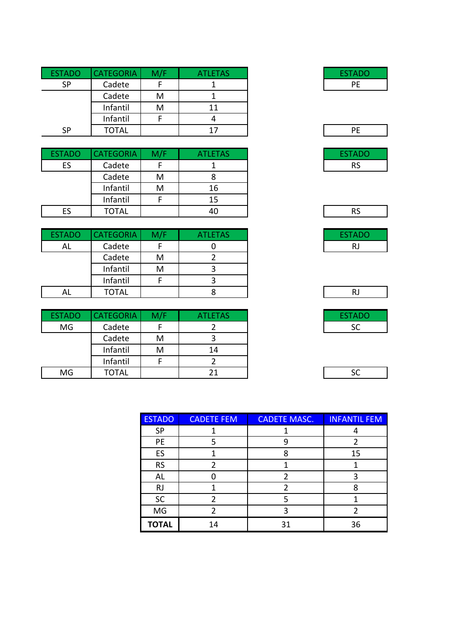| <b>ESTADO</b> | <b>CATEGORIA</b> | M/F | <b>ATLETAS</b> |  |
|---------------|------------------|-----|----------------|--|
| <b>SP</b>     | Cadete           |     |                |  |
|               | Cadete           | м   |                |  |
|               | Infantil         | м   |                |  |
|               | Infantil         |     |                |  |
| <b>SP</b>     | TOTAL            |     | 17             |  |

| <b>ESTADO</b> | <b>CATEGORIA</b> | M/F | <b>ATLETAS</b> |
|---------------|------------------|-----|----------------|
| ES            | Cadete           |     |                |
|               | Cadete           | м   |                |
|               | Infantil         | M   | 16             |
|               | Infantil         |     | 15             |
| ES            | <b>TOTAL</b>     |     | 40             |

| <b>ESTADO</b> | <b>CATEGORIA</b> | M/F | <b>ATLETAS</b> | <b>ESTADO</b> |
|---------------|------------------|-----|----------------|---------------|
| AL            | Cadete           |     |                |               |
|               | Cadete           | м   |                |               |
|               | Infantil         | м   |                |               |
|               | Infantil         |     |                |               |
| AL            | <b>TOTAL</b>     |     |                |               |

| <b>ESTADO</b> | <b>CATEGORIA</b> | M/F | <b>ATLETAS</b> |  |
|---------------|------------------|-----|----------------|--|
| MG            | Cadete           |     |                |  |
|               | Cadete           | м   |                |  |
|               | Infantil         | м   | 14             |  |
|               | Infantil         |     |                |  |
| MG            | TOTAL            |     |                |  |

| ESTADO |  |
|--------|--|
| PE     |  |
|        |  |



| <b>RJ</b> |  |
|-----------|--|

|--|

| .<br>r |  |
|--------|--|
| L.     |  |

| <b>ESTADO</b> | <b>CADETE FEM</b> | <b>CADETE MASC.</b> | <b>INFANTIL FEM</b> |
|---------------|-------------------|---------------------|---------------------|
| <b>SP</b>     |                   |                     |                     |
| PE            | 5                 |                     |                     |
| ES            |                   | 8                   | 15                  |
| <b>RS</b>     | 2                 |                     |                     |
| AL            |                   |                     |                     |
| <b>RJ</b>     |                   | 2                   | ጸ                   |
| <b>SC</b>     |                   | 5                   |                     |
| MG            | 2                 | ิว                  |                     |
| <b>TOTAL</b>  | 14                | 31                  | 36                  |